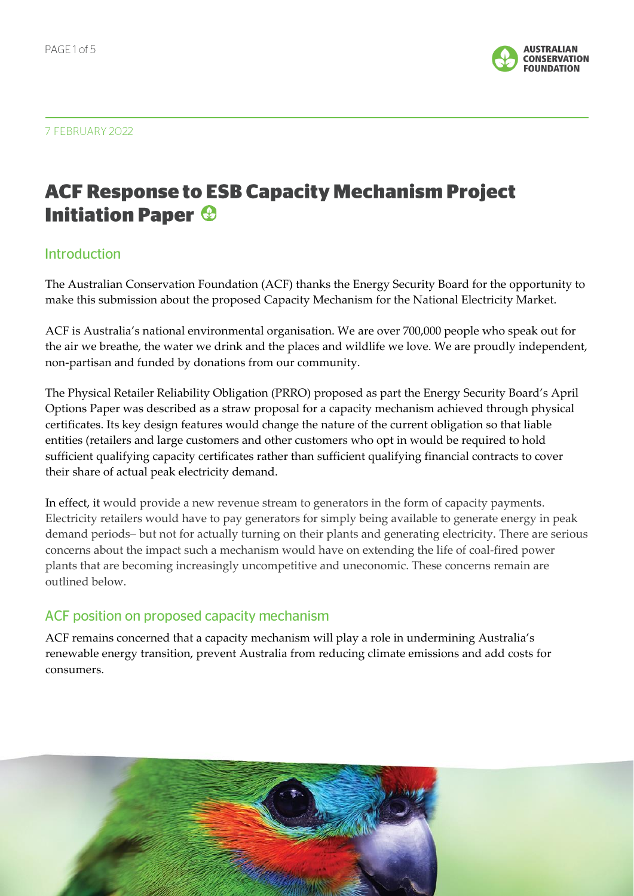

#### 7 FEBRUARY 2022

# **ACF Response to ESB Capacity Mechanism Project Initiation Paper <sup>®</sup>**

### **Introduction**

The Australian Conservation Foundation (ACF) thanks the Energy Security Board for the opportunity to make this submission about the proposed Capacity Mechanism for the National Electricity Market.

ACF is Australia's national environmental organisation. We are over 700,000 people who speak out for the air we breathe, the water we drink and the places and wildlife we love. We are proudly independent, non-partisan and funded by donations from our community.

The Physical Retailer Reliability Obligation (PRRO) proposed as part the Energy Security Board's April Options Paper was described as a straw proposal for a capacity mechanism achieved through physical certificates. Its key design features would change the nature of the current obligation so that liable entities (retailers and large customers and other customers who opt in would be required to hold sufficient qualifying capacity certificates rather than sufficient qualifying financial contracts to cover their share of actual peak electricity demand.

In effect, it would provide a new revenue stream to generators in the form of capacity payments. Electricity retailers would have to pay generators for simply being available to generate energy in peak demand periods– but not for actually turning on their plants and generating electricity. There are serious concerns about the impact such a mechanism would have on extending the life of coal-fired power plants that are becoming increasingly uncompetitive and uneconomic. These concerns remain are outlined below.

### ACF position on proposed capacity mechanism

ACF remains concerned that a capacity mechanism will play a role in undermining Australia's renewable energy transition, prevent Australia from reducing climate emissions and add costs for consumers.

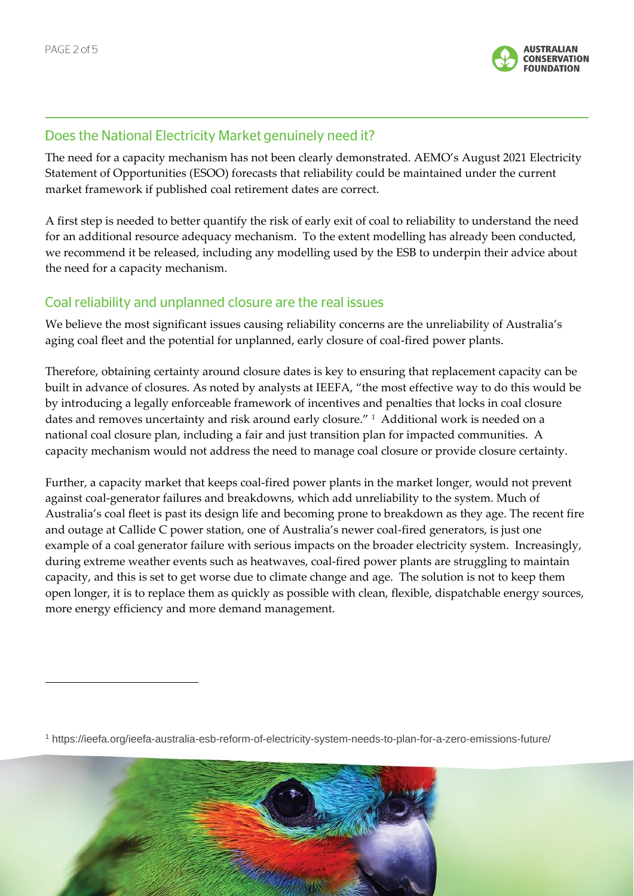

## Does the National Electricity Market genuinely need it?

The need for a capacity mechanism has not been clearly demonstrated. AEMO's August 2021 Electricity Statement of Opportunities (ESOO) forecasts that reliability could be maintained under the current market framework if published coal retirement dates are correct.

A first step is needed to better quantify the risk of early exit of coal to reliability to understand the need for an additional resource adequacy mechanism. To the extent modelling has already been conducted, we recommend it be released, including any modelling used by the ESB to underpin their advice about the need for a capacity mechanism.

## Coal reliability and unplanned closure are the real issues

We believe the most significant issues causing reliability concerns are the unreliability of Australia's aging coal fleet and the potential for unplanned, early closure of coal-fired power plants.

Therefore, obtaining certainty around closure dates is key to ensuring that replacement capacity can be built in advance of closures. As noted by analysts at IEEFA, "the most effective way to do this would be by introducing a legally enforceable framework of incentives and penalties that locks in coal closure dates and removes uncertainty and risk around early closure." <sup>1</sup> Additional work is needed on a national coal closure plan, including a fair and just transition plan for impacted communities. A capacity mechanism would not address the need to manage coal closure or provide closure certainty.

Further, a capacity market that keeps coal-fired power plants in the market longer, would not prevent against coal-generator failures and breakdowns, which add unreliability to the system. Much of Australia's coal fleet is past its design life and becoming prone to breakdown as they age. The recent fire and outage at Callide C power station, one of Australia's newer coal-fired generators, is just one example of a coal generator failure with serious impacts on the broader electricity system. Increasingly, during extreme weather events such as heatwaves, coal-fired power plants are struggling to maintain capacity, and this is set to get worse due to climate change and age. The solution is not to keep them open longer, it is to replace them as quickly as possible with clean, flexible, dispatchable energy sources, more energy efficiency and more demand management.

<sup>1</sup> https://ieefa.org/ieefa-australia-esb-reform-of-electricity-system-needs-to-plan-for-a-zero-emissions-future/

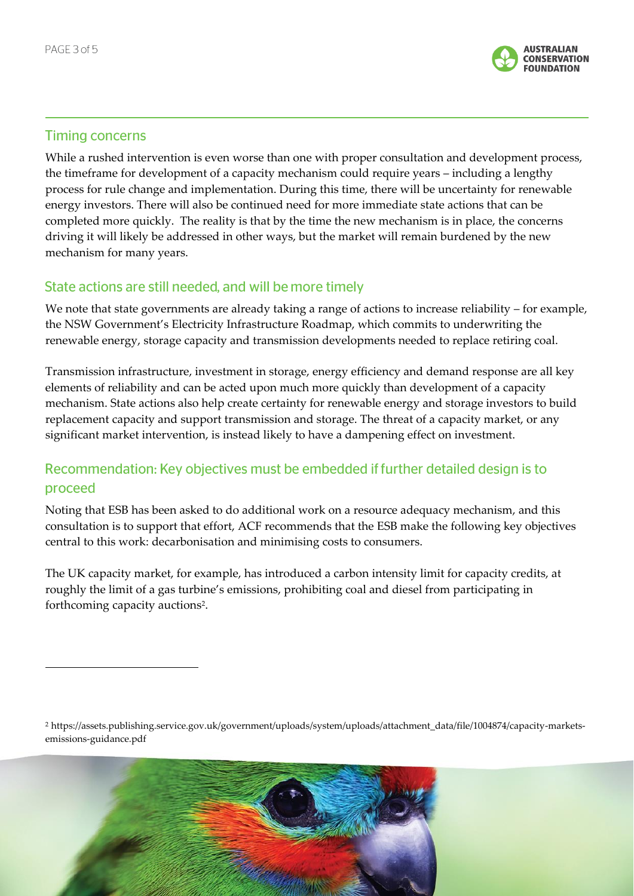

# **Timing concerns**

While a rushed intervention is even worse than one with proper consultation and development process, the timeframe for development of a capacity mechanism could require years – including a lengthy process for rule change and implementation. During this time, there will be uncertainty for renewable energy investors. There will also be continued need for more immediate state actions that can be completed more quickly. The reality is that by the time the new mechanism is in place, the concerns driving it will likely be addressed in other ways, but the market will remain burdened by the new mechanism for many years.

# State actions are still needed, and will be more timely

We note that state governments are already taking a range of actions to increase reliability – for example, the NSW Government's Electricity Infrastructure Roadmap, which commits to underwriting the renewable energy, storage capacity and transmission developments needed to replace retiring coal.

Transmission infrastructure, investment in storage, energy efficiency and demand response are all key elements of reliability and can be acted upon much more quickly than development of a capacity mechanism. State actions also help create certainty for renewable energy and storage investors to build replacement capacity and support transmission and storage. The threat of a capacity market, or any significant market intervention, is instead likely to have a dampening effect on investment.

# Recommendation: Key objectives must be embedded if further detailed design is to proceed

Noting that ESB has been asked to do additional work on a resource adequacy mechanism, and this consultation is to support that effort, ACF recommends that the ESB make the following key objectives central to this work: decarbonisation and minimising costs to consumers.

The UK capacity market, for example, has introduced a carbon intensity limit for capacity credits, at roughly the limit of a gas turbine's emissions, prohibiting coal and diesel from participating in forthcoming capacity auctions<sup>2</sup>.

<sup>2</sup> https://assets.publishing.service.gov.uk/government/uploads/system/uploads/attachment\_data/file/1004874/capacity-marketsemissions-guidance.pdf

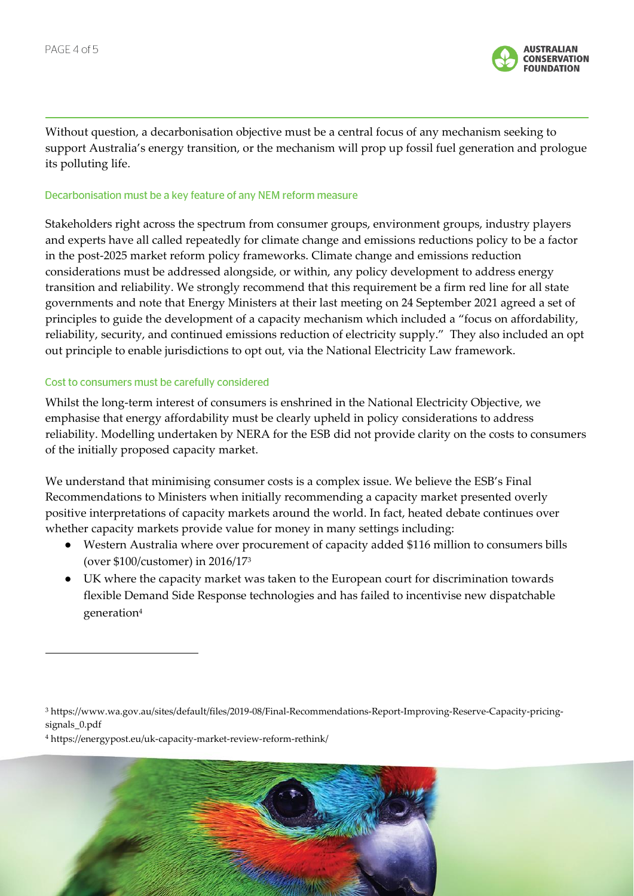

Without question, a decarbonisation objective must be a central focus of any mechanism seeking to support Australia's energy transition, or the mechanism will prop up fossil fuel generation and prologue its polluting life.

#### Decarbonisation must be a key feature of any NEM reform measure

Stakeholders right across the spectrum from consumer groups, environment groups, industry players and experts have all called repeatedly for climate change and emissions reductions policy to be a factor in the post-2025 market reform policy frameworks. Climate change and emissions reduction considerations must be addressed alongside, or within, any policy development to address energy transition and reliability. We strongly recommend that this requirement be a firm red line for all state governments and note that Energy Ministers at their last meeting on 24 September 2021 agreed a set of principles to guide the development of a capacity mechanism which included a "focus on affordability, reliability, security, and continued emissions reduction of electricity supply." They also included an opt out principle to enable jurisdictions to opt out, via the National Electricity Law framework.

#### Cost to consumers must be carefully considered

Whilst the long-term interest of consumers is enshrined in the National Electricity Objective, we emphasise that energy affordability must be clearly upheld in policy considerations to address reliability. Modelling undertaken by NERA for the ESB did not provide clarity on the costs to consumers of the initially proposed capacity market.

We understand that minimising consumer costs is a complex issue. We believe the ESB's Final Recommendations to Ministers when initially recommending a capacity market presented overly positive interpretations of capacity markets around the world. In fact, heated debate continues over whether capacity markets provide value for money in many settings including:

- Western Australia where over procurement of capacity added \$116 million to consumers bills (over \$100/customer) in 2016/17<sup>3</sup>
- UK where the capacity market was taken to the European court for discrimination towards flexible Demand Side Response technologies and has failed to incentivise new dispatchable generation<sup>4</sup>

<sup>3</sup> https://www.wa.gov.au/sites/default/files/2019-08/Final-Recommendations-Report-Improving-Reserve-Capacity-pricingsignals 0.pdf

<sup>4</sup> https://energypost.eu/uk-capacity-market-review-reform-rethink/